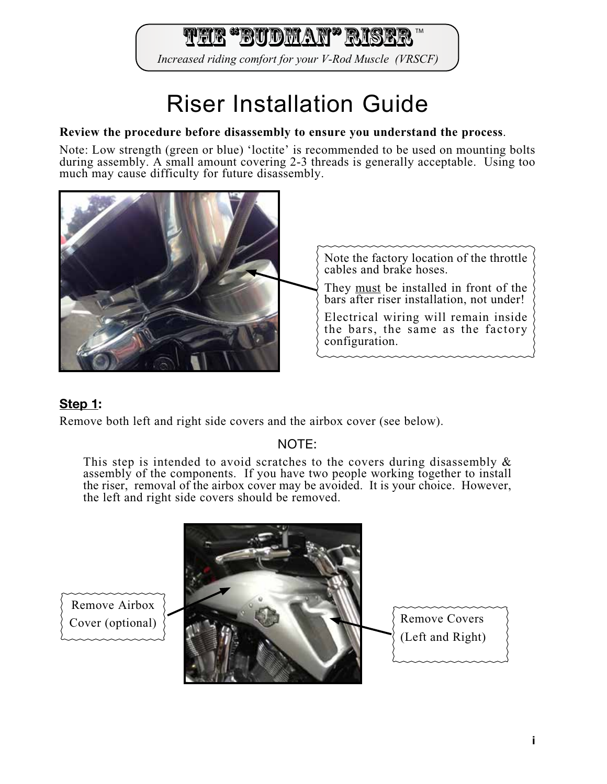rir "Budman" Ris

Increased riding comfort for your V-Rod Muscle (VRSCF)

# Riser Installation Guide

#### **Review the procedure before disassembly to ensure you understand the process**.

Note: Low strength (green or blue) 'loctite' is recommended to be used on mounting bolts during assembly. A small amount covering 2-3 threads is generally acceptable. Using too much may cause difficulty for future disassembly.



# Step 1:

Remove both left and right side covers and the airbox cover (see below).

# NOTE:

This step is intended to avoid scratches to the covers during disassembly  $\&$ assembly of the components. If you have two people working together to install the riser, removal of the airbox cover may be avoided. It is your choice. However, the left and right side covers should be removed.



Remove Airbox Cover (optional)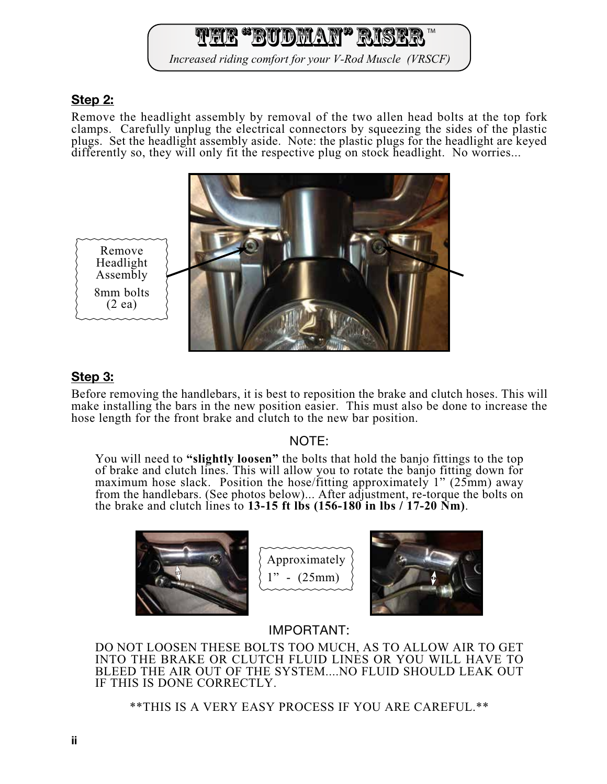# <u>tted "Budman" Ris</u>

Increased riding comfort for your V-Rod Muscle (VRSCF)

#### Step 2:

Remove the headlight assembly by removal of the two allen head bolts at the top fork clamps. Carefully unplug the electrical connectors by squeezing the sides of the plastic plugs. Set the headlight assembly aside. Note: the plastic plugs for the headlight are keyed differently so, they will only fit the respective plug on stock headlight. No worries...



#### Step 3:

Before removing the handlebars, it is best to reposition the brake and clutch hoses. This will make installing the bars in the new position easier. This must also be done to increase the hose length for the front brake and clutch to the new bar position.

#### NOTE:

You will need to **"slightly loosen"** the bolts that hold the banjo fittings to the top of brake and clutch lines. This will allow you to rotate the banjo fitting down for maximum hose slack. Position the hose/fitting approximately 1" (25mm) away from the handlebars. (See photos below)... After adjustment, re-torque the bolts on the brake and clutch lines to **13-15 ft lbs (156-180 in lbs / 17-20 Nm)**.



Approximately  $-$  (25mm)

# IMPORTANT:

DO NOT LOOSEN THESE BOLTS TOO MUCH, AS TO ALLOW AIR TO GET INTO THE BRAKE OR CLUTCH FLUID LINES OR YOU WILL HAVE TO BLEED THE AIR OUT OF THE SYSTEM....NO FLUID SHOULD LEAK OUT IF THIS IS DONE CORRECTLY.

\*\*THIS IS A VERY EASY PROCESS IF YOU ARE CAREFUL.\*\*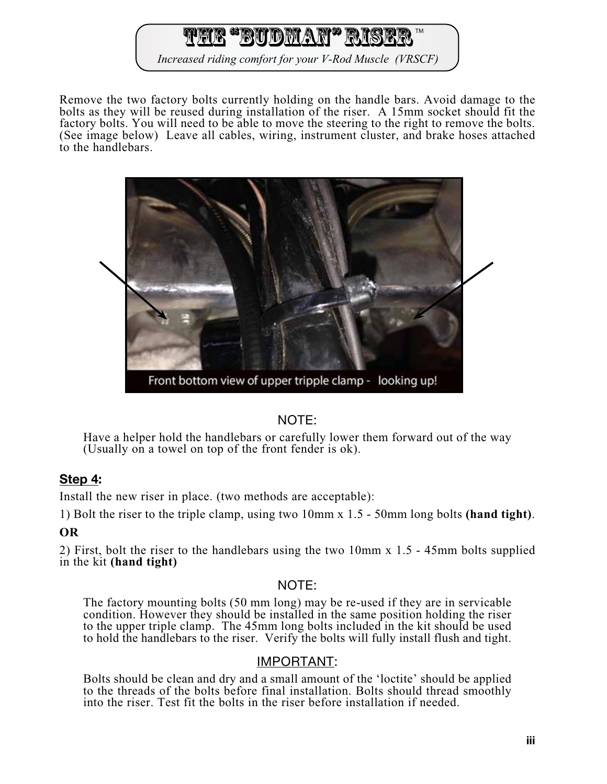# The "Budman" Ris

Increased riding comfort for your V-Rod Muscle (VRSCF)

Remove the two factory bolts currently holding on the handle bars. Avoid damage to the bolts as they will be reused during installation of the riser. A 15mm socket should fit the factory bolts. You will need to be able to move the steering to the right to remove the bolts. (See image below) Leave all cables, wiring, instrument cluster, and brake hoses attached to the handlebars.



# NOTE:

Have a helper hold the handlebars or carefully lower them forward out of the way (Usually on a towel on top of the front fender is ok).

# Step 4:

Install the new riser in place. (two methods are acceptable):

1) Bolt the riser to the triple clamp, using two 10mm x 1.5 - 50mm long bolts **(hand tight)**.

#### **OR**

2) First, bolt the riser to the handlebars using the two 10mm x 1.5 - 45mm bolts supplied in the kit **(hand tight)**

#### NOTE:

The factory mounting bolts (50 mm long) may be re-used if they are in servicable condition. However they should be installed in the same position holding the riser to the upper triple clamp. The 45mm long bolts included in the kit should be used to hold the handlebars to the riser. Verify the bolts will fully install flush and tight.

#### IMPORTANT:

Bolts should be clean and dry and a small amount of the 'loctite' should be applied to the threads of the bolts before final installation. Bolts should thread smoothly into the riser. Test fit the bolts in the riser before installation if needed.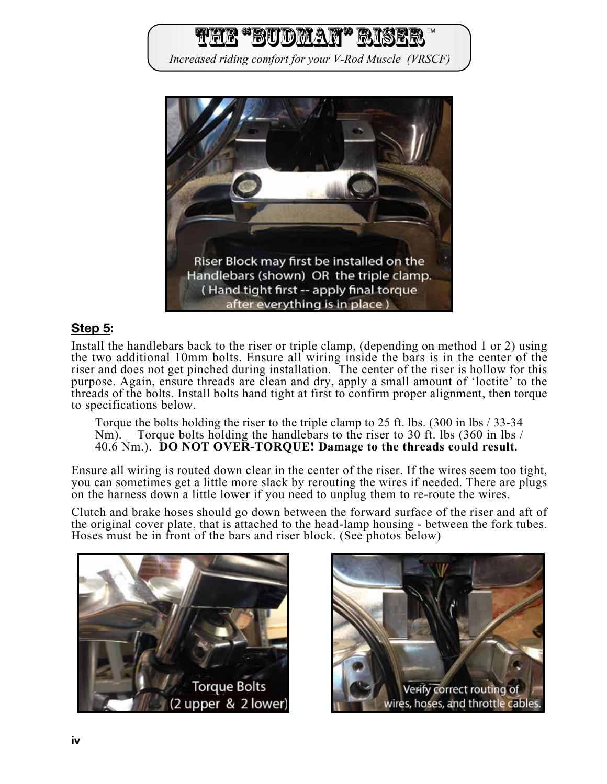![](_page_3_Picture_0.jpeg)

#### Step 5:

Install the handlebars back to the riser or triple clamp, (depending on method 1 or 2) using the two additional 10mm bolts. Ensure all wiring inside the bars is in the center of the riser and does not get pinched during installation. The center of the riser is hollow for this purpose. Again, ensure threads are clean and dry, apply a small amount of 'loctite' to the threads of the bolts. Install bolts hand tight at first to confirm proper alignment, then torque to specifications below.

Torque the bolts holding the riser to the triple clamp to 25 ft. lbs. (300 in lbs / 33-34 Nm). Torque bolts holding the handlebars to the riser to 30 ft. lbs (360 in lbs / Torque bolts holding the handlebars to the riser to 30 ft. lbs (360 in lbs / 40.6 Nm.). **DO NOT OVER-TORQUE! Damage to the threads could result.**

Ensure all wiring is routed down clear in the center of the riser. If the wires seem too tight, you can sometimes get a little more slack by rerouting the wires if needed. There are plugs on the harness down a little lower if you need to unplug them to re-route the wires.

Clutch and brake hoses should go down between the forward surface of the riser and aft of the original cover plate, that is attached to the head-lamp housing - between the fork tubes. Hoses must be in front of the bars and riser block. (See photos below)

![](_page_3_Picture_6.jpeg)

![](_page_3_Picture_7.jpeg)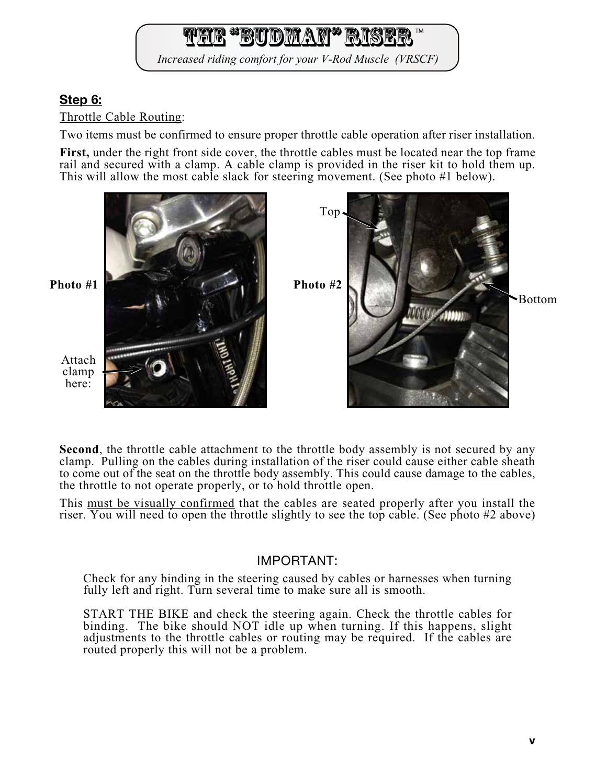**FRACTION NATA RI** 

Increased riding comfort for your V-Rod Muscle (VRSCF)

# Step 6:

Throttle Cable Routing:

Two items must be confirmed to ensure proper throttle cable operation after riser installation.

**First,** under the right front side cover, the throttle cables must be located near the top frame rail and secured with a clamp. A cable clamp is provided in the riser kit to hold them up. This will allow the most cable slack for steering movement. (See photo #1 below).

![](_page_4_Picture_6.jpeg)

**Second**, the throttle cable attachment to the throttle body assembly is not secured by any clamp. Pulling on the cables during installation of the riser could cause either cable sheath to come out of the seat on the throttle body assembly. This could cause damage to the cables, the throttle to not operate properly, or to hold throttle open.

This must be visually confirmed that the cables are seated properly after you install the riser. You will need to open the throttle slightly to see the top cable. (See photo #2 above)

#### IMPORTANT:

Check for any binding in the steering caused by cables or harnesses when turning fully left and right. Turn several time to make sure all is smooth.

START THE BIKE and check the steering again. Check the throttle cables for binding. The bike should NOT idle up when turning. If this happens, slight adjustments to the throttle cables or routing may be required. If the cables are routed properly this will not be a problem.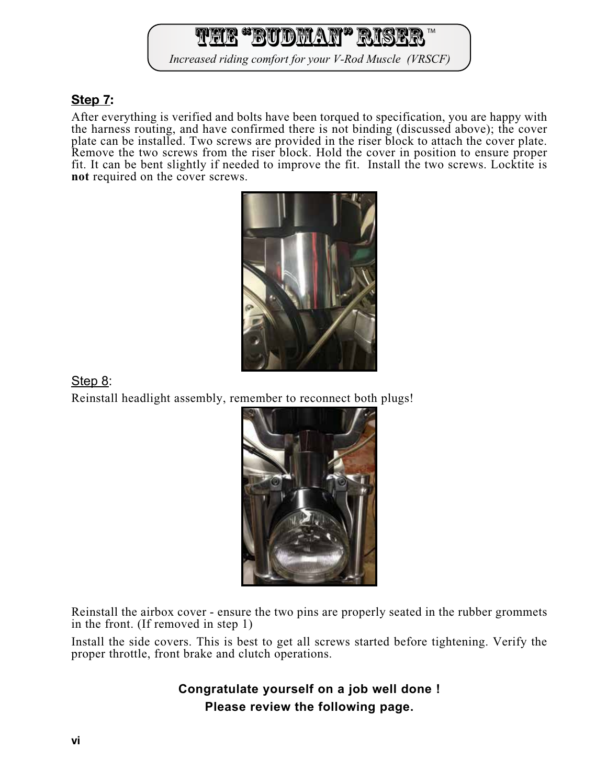# The "Budway" Rise

Increased riding comfort for your V-Rod Muscle (VRSCF)

### Step 7:

After everything is verified and bolts have been torqued to specification, you are happy with the harness routing, and have confirmed there is not binding (discussed above); the cover plate can be installed. Two screws are provided in the riser block to attach the cover plate. Remove the two screws from the riser block. Hold the cover in position to ensure proper fit. It can be bent slightly if needed to improve the fit. Install the two screws. Locktite is **not** required on the cover screws.

![](_page_5_Picture_4.jpeg)

Step 8: Reinstall headlight assembly, remember to reconnect both plugs!

![](_page_5_Picture_6.jpeg)

Reinstall the airbox cover - ensure the two pins are properly seated in the rubber grommets in the front. (If removed in step 1)

Install the side covers. This is best to get all screws started before tightening. Verify the proper throttle, front brake and clutch operations.

> **Congratulate yourself on a job well done ! Please review the following page.**